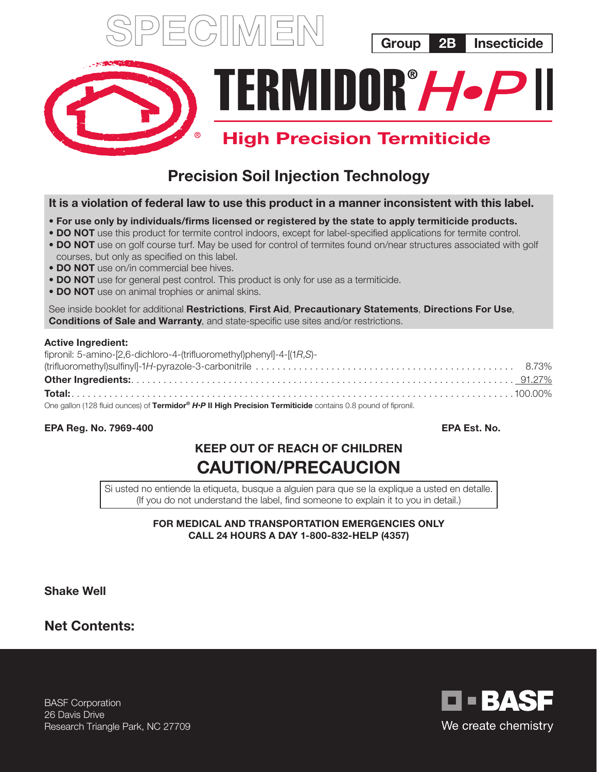

# Precision Soil Injection Technology

It is a violation of federal law to use this product in a manner inconsistent with this label.

- For use only by individuals/firms licensed or registered by the state to apply termiticide products.
- DO NOT use this product for termite control indoors, except for label-specified applications for termite control.
- DO NOT use on golf course turf. May be used for control of termites found on/near structures associated with golf courses, but only as specified on this label.
- DO NOT use on/in commercial bee hives.
- DO NOT use for general pest control. This product is only for use as a termiticide.
- DO NOT use on animal trophies or animal skins.

See inside booklet for additional Restrictions, First Aid, Precautionary Statements, Directions For Use, Conditions of Sale and Warranty, and state-specific use sites and/or restrictions.

#### Active Ingredient:

| fipronil: 5-amino-[2,6-dichloro-4-(trifluoromethyl)phenyl]-4-[(1R,S)-                                        |  |
|--------------------------------------------------------------------------------------------------------------|--|
|                                                                                                              |  |
|                                                                                                              |  |
|                                                                                                              |  |
| One gallon (128 fluid ounces) of Termidor® H·P II High Precision Termiticide contains 0.8 pound of fipronil. |  |

#### EPA Reg. No. 7969-400 EPA Est. No.

# KEEP OUT OF REACH OF CHILDREN CAUTION/PRECAUCION

Si usted no entiende la etiqueta, busque a alguien para que se la explique a usted en detalle. (If you do not understand the label, find someone to explain it to you in detail.)

#### FOR MEDICAL AND TRANSPORTATION EMERGENCIES ONLY CALL 24 HOURS A DAY 1-800-832-HELP (4357)

Shake Well

Net Contents:

BASF Corporation 26 Davis Drive Research Triangle Park, NC 27709

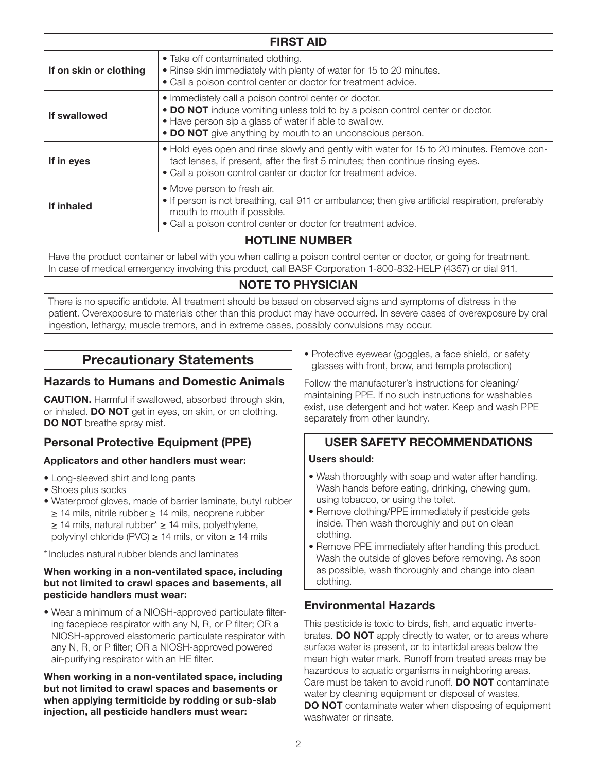| <b>FIRST AID</b>                                                                                                                                                                                                                                |                                                                                                                                                                                                                                                               |  |  |
|-------------------------------------------------------------------------------------------------------------------------------------------------------------------------------------------------------------------------------------------------|---------------------------------------------------------------------------------------------------------------------------------------------------------------------------------------------------------------------------------------------------------------|--|--|
| If on skin or clothing                                                                                                                                                                                                                          | • Take off contaminated clothing.<br>. Rinse skin immediately with plenty of water for 15 to 20 minutes.<br>• Call a poison control center or doctor for treatment advice.                                                                                    |  |  |
| If swallowed                                                                                                                                                                                                                                    | • Immediately call a poison control center or doctor.<br>• DO NOT induce vomiting unless told to by a poison control center or doctor.<br>• Have person sip a glass of water if able to swallow.<br>• DO NOT give anything by mouth to an unconscious person. |  |  |
| If in eyes                                                                                                                                                                                                                                      | • Hold eyes open and rinse slowly and gently with water for 15 to 20 minutes. Remove con-<br>tact lenses, if present, after the first 5 minutes; then continue rinsing eyes.<br>• Call a poison control center or doctor for treatment advice.                |  |  |
| • Move person to fresh air.<br>• If person is not breathing, call 911 or ambulance; then give artificial respiration, preferably<br>If inhaled<br>mouth to mouth if possible.<br>• Call a poison control center or doctor for treatment advice. |                                                                                                                                                                                                                                                               |  |  |
| <b>HOTLINE NUMBER</b>                                                                                                                                                                                                                           |                                                                                                                                                                                                                                                               |  |  |
|                                                                                                                                                                                                                                                 | Have the product container or label with you when calling a poison control center or doctor, or going for treatment.                                                                                                                                          |  |  |

In case of medical emergency involving this product, call BASF Corporation 1-800-832-HELP (4357) or dial 911.

## NOTE TO PHYSICIAN

There is no specific antidote. All treatment should be based on observed signs and symptoms of distress in the patient. Overexposure to materials other than this product may have occurred. In severe cases of overexposure by oral ingestion, lethargy, muscle tremors, and in extreme cases, possibly convulsions may occur.

## Precautionary Statements

## Hazards to Humans and Domestic Animals

CAUTION. Harmful if swallowed, absorbed through skin, or inhaled. **DO NOT** get in eyes, on skin, or on clothing. DO NOT breathe spray mist.

## Personal Protective Equipment (PPE)

#### Applicators and other handlers must wear:

- Long-sleeved shirt and long pants
- Shoes plus socks
- Waterproof gloves, made of barrier laminate, butyl rubber ≥ 14 mils, nitrile rubber ≥ 14 mils, neoprene rubber ≥ 14 mils, natural rubber\* ≥ 14 mils, polyethylene, polyvinyl chloride (PVC) ≥ 14 mils, or viton ≥ 14 mils

\*Includes natural rubber blends and laminates

#### When working in a non-ventilated space, including but not limited to crawl spaces and basements, all pesticide handlers must wear:

• Wear a minimum of a NIOSH-approved particulate filtering facepiece respirator with any N, R, or P filter; OR a NIOSH-approved elastomeric particulate respirator with any N, R, or P filter; OR a NIOSH-approved powered air-purifying respirator with an HE filter.

When working in a non-ventilated space, including but not limited to crawl spaces and basements or when applying termiticide by rodding or sub-slab injection, all pesticide handlers must wear:

• Protective eyewear (goggles, a face shield, or safety glasses with front, brow, and temple protection)

Follow the manufacturer's instructions for cleaning/ maintaining PPE. If no such instructions for washables exist, use detergent and hot water. Keep and wash PPE separately from other laundry.

## USER SAFETY RECOMMENDATIONS

#### Users should:

- Wash thoroughly with soap and water after handling. Wash hands before eating, drinking, chewing gum, using tobacco, or using the toilet.
- Remove clothing/PPE immediately if pesticide gets inside. Then wash thoroughly and put on clean clothing.
- Remove PPE immediately after handling this product. Wash the outside of gloves before removing. As soon as possible, wash thoroughly and change into clean clothing.

## Environmental Hazards

This pesticide is toxic to birds, fish, and aquatic invertebrates. **DO NOT** apply directly to water, or to areas where surface water is present, or to intertidal areas below the mean high water mark. Runoff from treated areas may be hazardous to aquatic organisms in neighboring areas. Care must be taken to avoid runoff. **DO NOT** contaminate water by cleaning equipment or disposal of wastes. DO NOT contaminate water when disposing of equipment washwater or rinsate.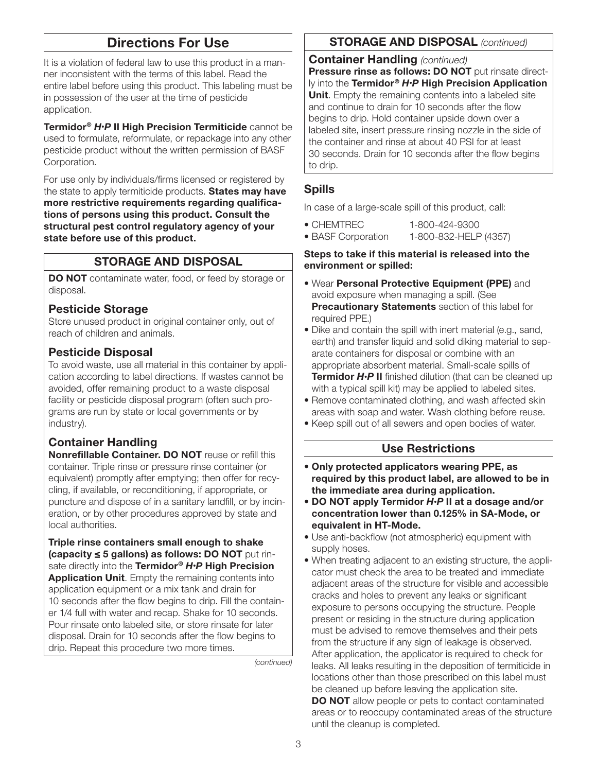## Directions For Use

It is a violation of federal law to use this product in a manner inconsistent with the terms of this label. Read the entire label before using this product. This labeling must be in possession of the user at the time of pesticide application.

Termidor® *H•P* II High Precision Termiticide cannot be used to formulate, reformulate, or repackage into any other pesticide product without the written permission of BASF Corporation.

For use only by individuals/firms licensed or registered by the state to apply termiticide products. States may have more restrictive requirements regarding qualifications of persons using this product. Consult the structural pest control regulatory agency of your state before use of this product.

## STORAGE AND DISPOSAL

DO NOT contaminate water, food, or feed by storage or disposal.

## Pesticide Storage

Store unused product in original container only, out of reach of children and animals.

## Pesticide Disposal

To avoid waste, use all material in this container by application according to label directions. If wastes cannot be avoided, offer remaining product to a waste disposal facility or pesticide disposal program (often such programs are run by state or local governments or by industry).

## Container Handling

Nonrefillable Container. DO NOT reuse or refill this container. Triple rinse or pressure rinse container (or equivalent) promptly after emptying; then offer for recycling, if available, or reconditioning, if appropriate, or puncture and dispose of in a sanitary landfill, or by incineration, or by other procedures approved by state and local authorities.

Triple rinse containers small enough to shake (capacity ≤ 5 gallons) as follows: DO NOT put rinsate directly into the Termidor® *H•P* High Precision Application Unit. Empty the remaining contents into application equipment or a mix tank and drain for 10 seconds after the flow begins to drip. Fill the container 1/4 full with water and recap. Shake for 10 seconds. Pour rinsate onto labeled site, or store rinsate for later disposal. Drain for 10 seconds after the flow begins to drip. Repeat this procedure two more times.

*(continued)*

## STORAGE AND DISPOSAL *(continued)*

Container Handling *(continued)*

Pressure rinse as follows: DO NOT put rinsate directly into the Termidor® *H•P* High Precision Application Unit. Empty the remaining contents into a labeled site and continue to drain for 10 seconds after the flow begins to drip. Hold container upside down over a labeled site, insert pressure rinsing nozzle in the side of the container and rinse at about 40 PSI for at least 30 seconds. Drain for 10 seconds after the flow begins to drip.

## Spills

In case of a large-scale spill of this product, call:

- CHEMTREC 1-800-424-9300
- BASF Corporation 1-800-832-HELP (4357)

Steps to take if this material is released into the environment or spilled:

- Wear Personal Protective Equipment (PPE) and avoid exposure when managing a spill. (See **Precautionary Statements** section of this label for required PPE.)
- Dike and contain the spill with inert material (e.g., sand, earth) and transfer liquid and solid diking material to separate containers for disposal or combine with an appropriate absorbent material. Small-scale spills of Termidor *H•P* II finished dilution (that can be cleaned up with a typical spill kit) may be applied to labeled sites.
- Remove contaminated clothing, and wash affected skin areas with soap and water. Wash clothing before reuse.
- Keep spill out of all sewers and open bodies of water.

## Use Restrictions

- Only protected applicators wearing PPE, as required by this product label, are allowed to be in the immediate area during application.
- DO NOT apply Termidor *H•P* II at a dosage and/or concentration lower than 0.125% in SA-Mode, or equivalent in HT-Mode.
- Use anti-backflow (not atmospheric) equipment with supply hoses.
- When treating adjacent to an existing structure, the applicator must check the area to be treated and immediate adjacent areas of the structure for visible and accessible cracks and holes to prevent any leaks or significant exposure to persons occupying the structure. People present or residing in the structure during application must be advised to remove themselves and their pets from the structure if any sign of leakage is observed. After application, the applicator is required to check for leaks. All leaks resulting in the deposition of termiticide in locations other than those prescribed on this label must be cleaned up before leaving the application site.

**DO NOT** allow people or pets to contact contaminated areas or to reoccupy contaminated areas of the structure until the cleanup is completed.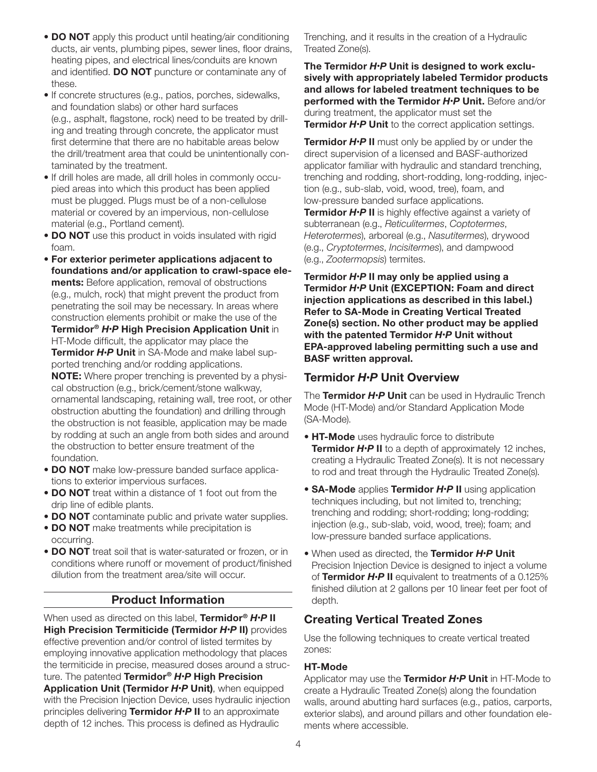- DO NOT apply this product until heating/air conditioning ducts, air vents, plumbing pipes, sewer lines, floor drains, heating pipes, and electrical lines/conduits are known and identified. **DO NOT** puncture or contaminate any of these.
- If concrete structures (e.g., patios, porches, sidewalks, and foundation slabs) or other hard surfaces (e.g., asphalt, flagstone, rock) need to be treated by drilling and treating through concrete, the applicator must first determine that there are no habitable areas below the drill/treatment area that could be unintentionally contaminated by the treatment.
- If drill holes are made, all drill holes in commonly occupied areas into which this product has been applied must be plugged. Plugs must be of a non-cellulose material or covered by an impervious, non-cellulose material (e.g., Portland cement).
- DO NOT use this product in voids insulated with rigid foam.
- For exterior perimeter applications adjacent to foundations and/or application to crawl-space ele**ments:** Before application, removal of obstructions (e.g., mulch, rock) that might prevent the product from penetrating the soil may be necessary. In areas where construction elements prohibit or make the use of the Termidor® *H•P* High Precision Application Unit in HT-Mode difficult, the applicator may place the Termidor *H•P* Unit in SA-Mode and make label supported trenching and/or rodding applications. NOTE: Where proper trenching is prevented by a physical obstruction (e.g., brick/cement/stone walkway, ornamental landscaping, retaining wall, tree root, or other obstruction abutting the foundation) and drilling through the obstruction is not feasible, application may be made by rodding at such an angle from both sides and around the obstruction to better ensure treatment of the
- foundation. **• DO NOT** make low-pressure banded surface applica-
- tions to exterior impervious surfaces. • DO NOT treat within a distance of 1 foot out from the drip line of edible plants.
- DO NOT contaminate public and private water supplies.
- DO NOT make treatments while precipitation is occurring.
- **DO NOT** treat soil that is water-saturated or frozen, or in conditions where runoff or movement of product/finished dilution from the treatment area/site will occur.

## Product Information

When used as directed on this label, Termidor® *H•P* II High Precision Termiticide (Termidor *H•P* II) provides effective prevention and/or control of listed termites by employing innovative application methodology that places the termiticide in precise, measured doses around a structure. The patented Termidor® *H•P* High Precision Application Unit (Termidor *H•P* Unit), when equipped with the Precision Injection Device, uses hydraulic injection principles delivering Termidor *H•P* II to an approximate depth of 12 inches. This process is defined as Hydraulic

Trenching, and it results in the creation of a Hydraulic Treated Zone(s).

The Termidor *H•P* Unit is designed to work exclusively with appropriately labeled Termidor products and allows for labeled treatment techniques to be performed with the Termidor *H•P* Unit. Before and/or during treatment, the applicator must set the **Termidor** *H***·P** Unit to the correct application settings.

Termidor *H•P* II must only be applied by or under the direct supervision of a licensed and BASF-authorized applicator familiar with hydraulic and standard trenching, trenching and rodding, short-rodding, long-rodding, injection (e.g., sub-slab, void, wood, tree), foam, and low-pressure banded surface applications. Termidor *H•P* II is highly effective against a variety of subterranean (e.g., *Reticulitermes*, *Coptotermes*, *Heterotermes*), arboreal (e.g., *Nasutitermes*), drywood (e.g., *Cryptotermes*, *Incisitermes*), and dampwood (e.g., *Zootermopsis*) termites.

Termidor *H•P* II may only be applied using a Termidor *H•P* Unit (EXCEPTION: Foam and direct injection applications as described in this label.) Refer to SA-Mode in Creating Vertical Treated Zone(s) section. No other product may be applied with the patented Termidor *H•P* Unit without EPA-approved labeling permitting such a use and BASF written approval.

## Termidor *H•P* Unit Overview

The Termidor *H•P* Unit can be used in Hydraulic Trench Mode (HT-Mode) and/or Standard Application Mode (SA-Mode).

- HT-Mode uses hydraulic force to distribute Termidor *H•P* II to a depth of approximately 12 inches, creating a Hydraulic Treated Zone(s). It is not necessary to rod and treat through the Hydraulic Treated Zone(s).
- SA-Mode applies Termidor *H•P* II using application techniques including, but not limited to, trenching; trenching and rodding; short-rodding; long-rodding; injection (e.g., sub-slab, void, wood, tree); foam; and low-pressure banded surface applications.
- When used as directed, the Termidor *H•P* Unit Precision Injection Device is designed to inject a volume of Termidor *H•P* II equivalent to treatments of a 0.125% finished dilution at 2 gallons per 10 linear feet per foot of depth.

## Creating Vertical Treated Zones

Use the following techniques to create vertical treated zones:

#### HT-Mode

Applicator may use the Termidor *H•P* Unit in HT-Mode to create a Hydraulic Treated Zone(s) along the foundation walls, around abutting hard surfaces (e.g., patios, carports, exterior slabs), and around pillars and other foundation elements where accessible.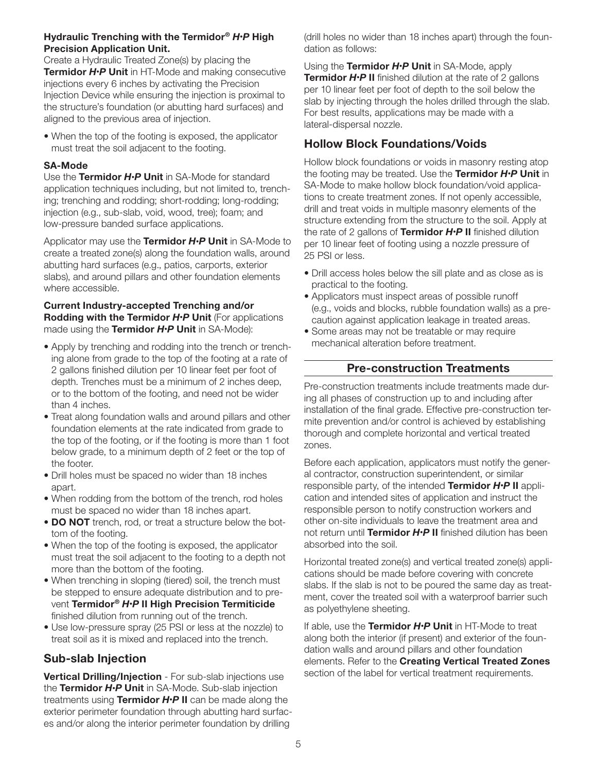#### Hydraulic Trenching with the Termidor® *H•P* High Precision Application Unit.

Create a Hydraulic Treated Zone(s) by placing the Termidor *H•P* Unit in HT-Mode and making consecutive injections every 6 inches by activating the Precision Injection Device while ensuring the injection is proximal to the structure's foundation (or abutting hard surfaces) and aligned to the previous area of injection.

• When the top of the footing is exposed, the applicator must treat the soil adjacent to the footing.

#### SA-Mode

Use the Termidor *H•P* Unit in SA-Mode for standard application techniques including, but not limited to, trenching; trenching and rodding; short-rodding; long-rodding; injection (e.g., sub-slab, void, wood, tree); foam; and low-pressure banded surface applications.

Applicator may use the Termidor *H•P* Unit in SA-Mode to create a treated zone(s) along the foundation walls, around abutting hard surfaces (e.g., patios, carports, exterior slabs), and around pillars and other foundation elements where accessible.

#### Current Industry-accepted Trenching and/or Rodding with the Termidor *H•P* Unit (For applications made using the Termidor *H•P* Unit in SA-Mode):

- Apply by trenching and rodding into the trench or trenching alone from grade to the top of the footing at a rate of 2 gallons finished dilution per 10 linear feet per foot of depth. Trenches must be a minimum of 2 inches deep, or to the bottom of the footing, and need not be wider than 4 inches.
- Treat along foundation walls and around pillars and other foundation elements at the rate indicated from grade to the top of the footing, or if the footing is more than 1 foot below grade, to a minimum depth of 2 feet or the top of the footer.
- Drill holes must be spaced no wider than 18 inches apart.
- When rodding from the bottom of the trench, rod holes must be spaced no wider than 18 inches apart.
- DO NOT trench, rod, or treat a structure below the bottom of the footing.
- When the top of the footing is exposed, the applicator must treat the soil adjacent to the footing to a depth not more than the bottom of the footing.
- When trenching in sloping (tiered) soil, the trench must be stepped to ensure adequate distribution and to prevent Termidor® *H•P* II High Precision Termiticide finished dilution from running out of the trench.
- Use low-pressure spray (25 PSI or less at the nozzle) to treat soil as it is mixed and replaced into the trench.

## Sub-slab Injection

Vertical Drilling/Injection - For sub-slab injections use the Termidor *H•P* Unit in SA-Mode. Sub-slab injection treatments using Termidor *H•P* II can be made along the exterior perimeter foundation through abutting hard surfaces and/or along the interior perimeter foundation by drilling

(drill holes no wider than 18 inches apart) through the foundation as follows:

Using the Termidor *H•P* Unit in SA-Mode, apply Termidor *H•P* II finished dilution at the rate of 2 gallons per 10 linear feet per foot of depth to the soil below the slab by injecting through the holes drilled through the slab. For best results, applications may be made with a lateral-dispersal nozzle.

## Hollow Block Foundations/Voids

Hollow block foundations or voids in masonry resting atop the footing may be treated. Use the Termidor *H•P* Unit in SA-Mode to make hollow block foundation/void applications to create treatment zones. If not openly accessible, drill and treat voids in multiple masonry elements of the structure extending from the structure to the soil. Apply at the rate of 2 gallons of Termidor *H•P* II finished dilution per 10 linear feet of footing using a nozzle pressure of 25 PSI or less.

- Drill access holes below the sill plate and as close as is practical to the footing.
- Applicators must inspect areas of possible runoff (e.g., voids and blocks, rubble foundation walls) as a precaution against application leakage in treated areas.
- Some areas may not be treatable or may require mechanical alteration before treatment.

## Pre-construction Treatments

Pre-construction treatments include treatments made during all phases of construction up to and including after installation of the final grade. Effective pre-construction termite prevention and/or control is achieved by establishing thorough and complete horizontal and vertical treated zones.

Before each application, applicators must notify the general contractor, construction superintendent, or similar responsible party, of the intended Termidor *H•P* II application and intended sites of application and instruct the responsible person to notify construction workers and other on-site individuals to leave the treatment area and not return until Termidor *H•P* II finished dilution has been absorbed into the soil.

Horizontal treated zone(s) and vertical treated zone(s) applications should be made before covering with concrete slabs. If the slab is not to be poured the same day as treatment, cover the treated soil with a waterproof barrier such as polyethylene sheeting.

If able, use the Termidor *H•P* Unit in HT-Mode to treat along both the interior (if present) and exterior of the foundation walls and around pillars and other foundation elements. Refer to the **Creating Vertical Treated Zones** section of the label for vertical treatment requirements.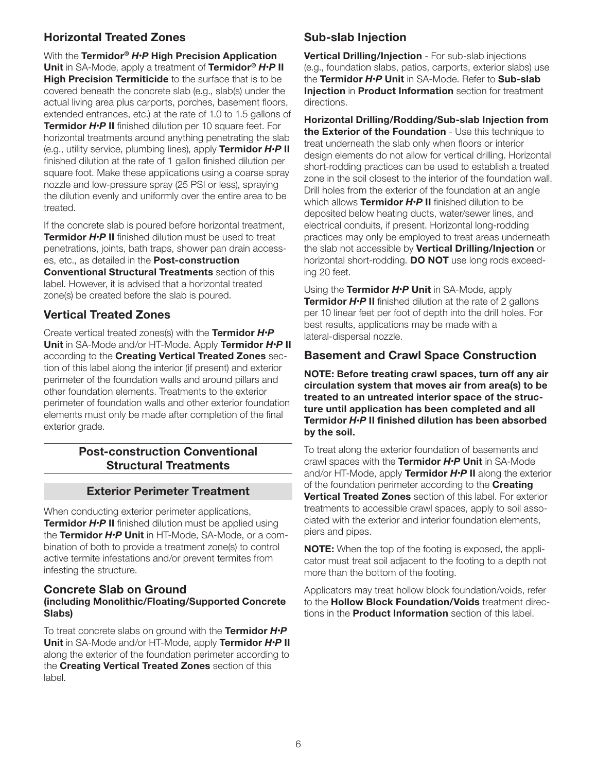## Horizontal Treated Zones

With the Termidor® *H•P* High Precision Application Unit in SA-Mode, apply a treatment of Termidor® *H•P* II High Precision Termiticide to the surface that is to be covered beneath the concrete slab (e.g., slab(s) under the actual living area plus carports, porches, basement floors, extended entrances, etc.) at the rate of 1.0 to 1.5 gallons of Termidor *H•P* II finished dilution per 10 square feet. For horizontal treatments around anything penetrating the slab (e.g., utility service, plumbing lines), apply Termidor *H•P* II finished dilution at the rate of 1 gallon finished dilution per square foot. Make these applications using a coarse spray nozzle and low-pressure spray (25 PSI or less), spraying the dilution evenly and uniformly over the entire area to be treated.

If the concrete slab is poured before horizontal treatment, Termidor *H•P* II finished dilution must be used to treat penetrations, joints, bath traps, shower pan drain accesses, etc., as detailed in the **Post-construction** Conventional Structural Treatments section of this label. However, it is advised that a horizontal treated zone(s) be created before the slab is poured.

## Vertical Treated Zones

Create vertical treated zones(s) with the Termidor *H•P* Unit in SA-Mode and/or HT-Mode. Apply Termidor *H•P* II according to the **Creating Vertical Treated Zones** section of this label along the interior (if present) and exterior perimeter of the foundation walls and around pillars and other foundation elements. Treatments to the exterior perimeter of foundation walls and other exterior foundation elements must only be made after completion of the final exterior grade.

## Post-construction Conventional Structural Treatments

#### Exterior Perimeter Treatment

When conducting exterior perimeter applications, Termidor *H•P* II finished dilution must be applied using the Termidor *H•P* Unit in HT-Mode, SA-Mode, or a combination of both to provide a treatment zone(s) to control active termite infestations and/or prevent termites from infesting the structure.

#### Concrete Slab on Ground (including Monolithic/Floating/Supported Concrete Slabs)

To treat concrete slabs on ground with the Termidor *H•P* Unit in SA-Mode and/or HT-Mode, apply Termidor *H•P* II along the exterior of the foundation perimeter according to the Creating Vertical Treated Zones section of this label.

## Sub-slab Injection

Vertical Drilling/Injection - For sub-slab injections (e.g., foundation slabs, patios, carports, exterior slabs) use the Termidor *H•P* Unit in SA-Mode. Refer to Sub-slab **Injection in Product Information** section for treatment directions.

Horizontal Drilling/Rodding/Sub-slab Injection from the Exterior of the Foundation - Use this technique to treat underneath the slab only when floors or interior design elements do not allow for vertical drilling. Horizontal short-rodding practices can be used to establish a treated zone in the soil closest to the interior of the foundation wall. Drill holes from the exterior of the foundation at an angle which allows Termidor *H•P* II finished dilution to be deposited below heating ducts, water/sewer lines, and electrical conduits, if present. Horizontal long-rodding practices may only be employed to treat areas underneath the slab not accessible by Vertical Drilling/Injection or horizontal short-rodding. **DO NOT** use long rods exceeding 20 feet.

Using the Termidor *H•P* Unit in SA-Mode, apply Termidor *H•P* II finished dilution at the rate of 2 gallons per 10 linear feet per foot of depth into the drill holes. For best results, applications may be made with a lateral-dispersal nozzle.

#### Basement and Crawl Space Construction

NOTE: Before treating crawl spaces, turn off any air circulation system that moves air from area(s) to be treated to an untreated interior space of the structure until application has been completed and all Termidor *H•P* II finished dilution has been absorbed by the soil.

To treat along the exterior foundation of basements and crawl spaces with the Termidor *H•P* Unit in SA-Mode and/or HT-Mode, apply Termidor *H•P* II along the exterior of the foundation perimeter according to the **Creating Vertical Treated Zones** section of this label. For exterior treatments to accessible crawl spaces, apply to soil associated with the exterior and interior foundation elements, piers and pipes.

NOTE: When the top of the footing is exposed, the applicator must treat soil adjacent to the footing to a depth not more than the bottom of the footing.

Applicators may treat hollow block foundation/voids, refer to the **Hollow Block Foundation/Voids** treatment directions in the **Product Information** section of this label.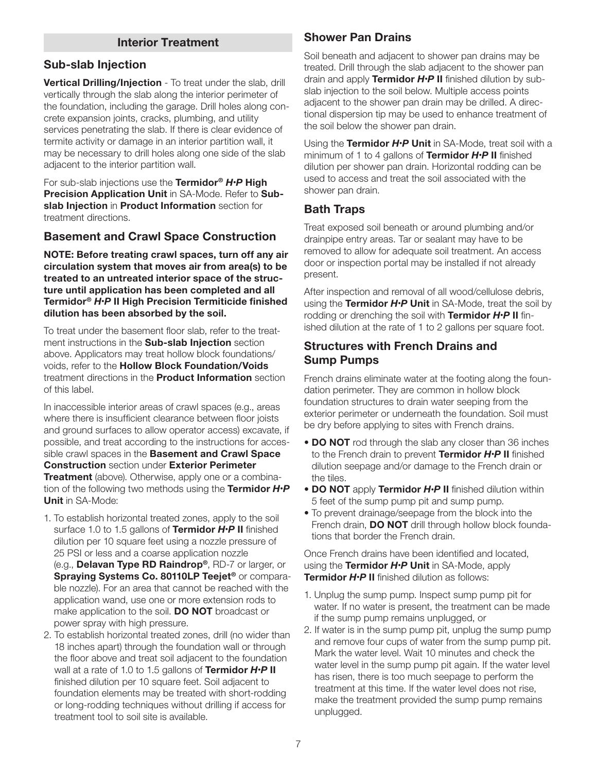#### Interior Treatment

#### Sub-slab Injection

Vertical Drilling/Injection - To treat under the slab, drill vertically through the slab along the interior perimeter of the foundation, including the garage. Drill holes along concrete expansion joints, cracks, plumbing, and utility services penetrating the slab. If there is clear evidence of termite activity or damage in an interior partition wall, it may be necessary to drill holes along one side of the slab adjacent to the interior partition wall.

For sub-slab injections use the Termidor® *H•P* High Precision Application Unit in SA-Mode. Refer to Subslab Injection in Product Information section for treatment directions.

### Basement and Crawl Space Construction

NOTE: Before treating crawl spaces, turn off any air circulation system that moves air from area(s) to be treated to an untreated interior space of the structure until application has been completed and all Termidor® *H•P* II High Precision Termiticide finished dilution has been absorbed by the soil.

To treat under the basement floor slab, refer to the treatment instructions in the **Sub-slab Injection** section above. Applicators may treat hollow block foundations/ voids, refer to the Hollow Block Foundation/Voids treatment directions in the **Product Information** section of this label.

In inaccessible interior areas of crawl spaces (e.g., areas where there is insufficient clearance between floor joists and ground surfaces to allow operator access) excavate, if possible, and treat according to the instructions for accessible crawl spaces in the **Basement and Crawl Space** Construction section under Exterior Perimeter Treatment (above). Otherwise, apply one or a combination of the following two methods using the Termidor *H•P* Unit in SA-Mode:

- 1. To establish horizontal treated zones, apply to the soil surface 1.0 to 1.5 gallons of Termidor *H•P* II finished dilution per 10 square feet using a nozzle pressure of 25 PSI or less and a coarse application nozzle (e.g., Delavan Type RD Raindrop®, RD-7 or larger, or Spraying Systems Co. 80110LP Teejet® or comparable nozzle). For an area that cannot be reached with the application wand, use one or more extension rods to make application to the soil. DO NOT broadcast or power spray with high pressure.
- 2. To establish horizontal treated zones, drill (no wider than 18 inches apart) through the foundation wall or through the floor above and treat soil adjacent to the foundation wall at a rate of 1.0 to 1.5 gallons of Termidor *H•P* II finished dilution per 10 square feet. Soil adjacent to foundation elements may be treated with short-rodding or long-rodding techniques without drilling if access for treatment tool to soil site is available.

#### Shower Pan Drains

Soil beneath and adjacent to shower pan drains may be treated. Drill through the slab adjacent to the shower pan drain and apply Termidor *H•P* II finished dilution by subslab injection to the soil below. Multiple access points adjacent to the shower pan drain may be drilled. A directional dispersion tip may be used to enhance treatment of the soil below the shower pan drain.

Using the Termidor *H•P* Unit in SA-Mode, treat soil with a minimum of 1 to 4 gallons of Termidor *H•P* II finished dilution per shower pan drain. Horizontal rodding can be used to access and treat the soil associated with the shower pan drain.

#### Bath Traps

Treat exposed soil beneath or around plumbing and/or drainpipe entry areas. Tar or sealant may have to be removed to allow for adequate soil treatment. An access door or inspection portal may be installed if not already present.

After inspection and removal of all wood/cellulose debris, using the Termidor *H•P* Unit in SA-Mode, treat the soil by rodding or drenching the soil with Termidor *H•P* II finished dilution at the rate of 1 to 2 gallons per square foot.

## Structures with French Drains and Sump Pumps

French drains eliminate water at the footing along the foundation perimeter. They are common in hollow block foundation structures to drain water seeping from the exterior perimeter or underneath the foundation. Soil must be dry before applying to sites with French drains.

- **DO NOT** rod through the slab any closer than 36 inches to the French drain to prevent Termidor *H•P* II finished dilution seepage and/or damage to the French drain or the tiles.
- DO NOT apply Termidor *H•P* II finished dilution within 5 feet of the sump pump pit and sump pump.
- To prevent drainage/seepage from the block into the French drain, **DO NOT** drill through hollow block foundations that border the French drain.

Once French drains have been identified and located, using the Termidor *H•P* Unit in SA-Mode, apply Termidor *H•P* II finished dilution as follows:

- 1. Unplug the sump pump. Inspect sump pump pit for water. If no water is present, the treatment can be made if the sump pump remains unplugged, or
- 2. If water is in the sump pump pit, unplug the sump pump and remove four cups of water from the sump pump pit. Mark the water level. Wait 10 minutes and check the water level in the sump pump pit again. If the water level has risen, there is too much seepage to perform the treatment at this time. If the water level does not rise, make the treatment provided the sump pump remains unplugged.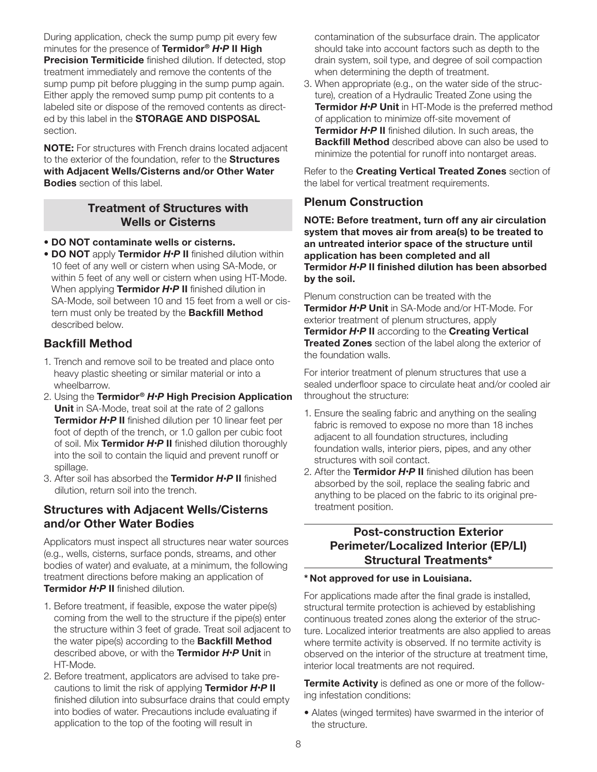During application, check the sump pump pit every few minutes for the presence of Termidor® *H•P* II High **Precision Termiticide** finished dilution. If detected, stop treatment immediately and remove the contents of the sump pump pit before plugging in the sump pump again. Either apply the removed sump pump pit contents to a labeled site or dispose of the removed contents as directed by this label in the **STORAGE AND DISPOSAL** section.

NOTE: For structures with French drains located adjacent to the exterior of the foundation, refer to the Structures with Adjacent Wells/Cisterns and/or Other Water **Bodies** section of this label.

## Treatment of Structures with Wells or Cisterns

- DO NOT contaminate wells or cisterns.
- DO NOT apply Termidor *H•P* II finished dilution within 10 feet of any well or cistern when using SA-Mode, or within 5 feet of any well or cistern when using HT-Mode. When applying Termidor *H•P* II finished dilution in SA-Mode, soil between 10 and 15 feet from a well or cistern must only be treated by the **Backfill Method** described below.

## Backfill Method

- 1. Trench and remove soil to be treated and place onto heavy plastic sheeting or similar material or into a wheelbarrow.
- 2. Using the Termidor® *H•P* High Precision Application Unit in SA-Mode, treat soil at the rate of 2 gallons Termidor *H•P* II finished dilution per 10 linear feet per foot of depth of the trench, or 1.0 gallon per cubic foot of soil. Mix Termidor *H•P* II finished dilution thoroughly into the soil to contain the liquid and prevent runoff or spillage.
- 3. After soil has absorbed the Termidor *H•P* II finished dilution, return soil into the trench.

### Structures with Adjacent Wells/Cisterns and/or Other Water Bodies

Applicators must inspect all structures near water sources (e.g., wells, cisterns, surface ponds, streams, and other bodies of water) and evaluate, at a minimum, the following treatment directions before making an application of Termidor *H•P* II finished dilution.

- 1. Before treatment, if feasible, expose the water pipe(s) coming from the well to the structure if the pipe(s) enter the structure within 3 feet of grade. Treat soil adjacent to the water pipe(s) according to the **Backfill Method** described above, or with the Termidor *H•P* Unit in HT-Mode.
- 2. Before treatment, applicators are advised to take precautions to limit the risk of applying Termidor *H•P* II finished dilution into subsurface drains that could empty into bodies of water. Precautions include evaluating if application to the top of the footing will result in

contamination of the subsurface drain. The applicator should take into account factors such as depth to the drain system, soil type, and degree of soil compaction when determining the depth of treatment.

3. When appropriate (e.g., on the water side of the structure), creation of a Hydraulic Treated Zone using the Termidor *H•P* Unit in HT-Mode is the preferred method of application to minimize off-site movement of Termidor *H•P* II finished dilution. In such areas, the **Backfill Method** described above can also be used to minimize the potential for runoff into nontarget areas.

Refer to the Creating Vertical Treated Zones section of the label for vertical treatment requirements.

## Plenum Construction

NOTE: Before treatment, turn off any air circulation system that moves air from area(s) to be treated to an untreated interior space of the structure until application has been completed and all Termidor *H•P* II finished dilution has been absorbed by the soil.

Plenum construction can be treated with the Termidor *H•P* Unit in SA-Mode and/or HT-Mode. For exterior treatment of plenum structures, apply Termidor *H•P* II according to the Creating Vertical Treated Zones section of the label along the exterior of the foundation walls.

For interior treatment of plenum structures that use a sealed underfloor space to circulate heat and/or cooled air throughout the structure:

- 1. Ensure the sealing fabric and anything on the sealing fabric is removed to expose no more than 18 inches adjacent to all foundation structures, including foundation walls, interior piers, pipes, and any other structures with soil contact.
- 2. After the Termidor *H•P* II finished dilution has been absorbed by the soil, replace the sealing fabric and anything to be placed on the fabric to its original pretreatment position.

## Post-construction Exterior Perimeter/Localized Interior (EP/LI) Structural Treatments\*

#### \* Not approved for use in Louisiana.

For applications made after the final grade is installed, structural termite protection is achieved by establishing continuous treated zones along the exterior of the structure. Localized interior treatments are also applied to areas where termite activity is observed. If no termite activity is observed on the interior of the structure at treatment time, interior local treatments are not required.

**Termite Activity** is defined as one or more of the following infestation conditions:

• Alates (winged termites) have swarmed in the interior of the structure.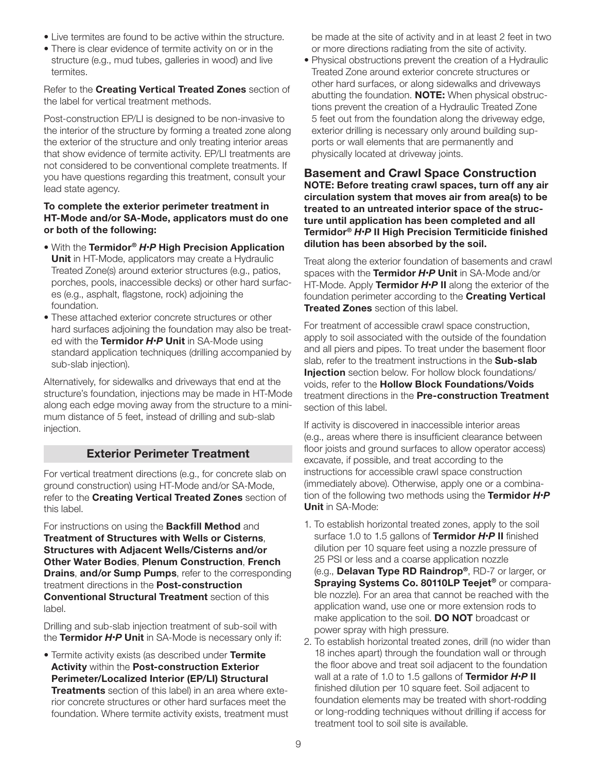- Live termites are found to be active within the structure.
- There is clear evidence of termite activity on or in the structure (e.g., mud tubes, galleries in wood) and live termites.

Refer to the **Creating Vertical Treated Zones** section of the label for vertical treatment methods.

Post-construction EP/LI is designed to be non-invasive to the interior of the structure by forming a treated zone along the exterior of the structure and only treating interior areas that show evidence of termite activity. EP/LI treatments are not considered to be conventional complete treatments. If you have questions regarding this treatment, consult your lead state agency.

#### To complete the exterior perimeter treatment in HT-Mode and/or SA-Mode, applicators must do one or both of the following:

- With the Termidor® *H•P* High Precision Application Unit in HT-Mode, applicators may create a Hydraulic Treated Zone(s) around exterior structures (e.g., patios, porches, pools, inaccessible decks) or other hard surfaces (e.g., asphalt, flagstone, rock) adjoining the foundation.
- These attached exterior concrete structures or other hard surfaces adjoining the foundation may also be treated with the Termidor *H•P* Unit in SA-Mode using standard application techniques (drilling accompanied by sub-slab injection).

Alternatively, for sidewalks and driveways that end at the structure's foundation, injections may be made in HT-Mode along each edge moving away from the structure to a minimum distance of 5 feet, instead of drilling and sub-slab injection.

## Exterior Perimeter Treatment

For vertical treatment directions (e.g., for concrete slab on ground construction) using HT-Mode and/or SA-Mode, refer to the **Creating Vertical Treated Zones** section of this label.

For instructions on using the **Backfill Method** and Treatment of Structures with Wells or Cisterns, Structures with Adjacent Wells/Cisterns and/or Other Water Bodies, Plenum Construction, French **Drains, and/or Sump Pumps, refer to the corresponding** treatment directions in the **Post-construction** Conventional Structural Treatment section of this label.

Drilling and sub-slab injection treatment of sub-soil with the Termidor *H•P* Unit in SA-Mode is necessary only if:

• Termite activity exists (as described under Termite Activity within the Post-construction Exterior Perimeter/Localized Interior (EP/LI) Structural **Treatments** section of this label) in an area where exterior concrete structures or other hard surfaces meet the foundation. Where termite activity exists, treatment must be made at the site of activity and in at least 2 feet in two or more directions radiating from the site of activity.

• Physical obstructions prevent the creation of a Hydraulic Treated Zone around exterior concrete structures or other hard surfaces, or along sidewalks and driveways abutting the foundation. **NOTE:** When physical obstructions prevent the creation of a Hydraulic Treated Zone 5 feet out from the foundation along the driveway edge, exterior drilling is necessary only around building supports or wall elements that are permanently and physically located at driveway joints.

#### Basement and Crawl Space Construction NOTE: Before treating crawl spaces, turn off any air circulation system that moves air from area(s) to be treated to an untreated interior space of the structure until application has been completed and all Termidor® *H•P* II High Precision Termiticide finished dilution has been absorbed by the soil.

Treat along the exterior foundation of basements and crawl spaces with the Termidor *H•P* Unit in SA-Mode and/or HT-Mode. Apply Termidor *H•P* II along the exterior of the foundation perimeter according to the **Creating Vertical Treated Zones** section of this label.

For treatment of accessible crawl space construction, apply to soil associated with the outside of the foundation and all piers and pipes. To treat under the basement floor slab, refer to the treatment instructions in the Sub-slab Injection section below. For hollow block foundations/ voids, refer to the Hollow Block Foundations/Voids treatment directions in the **Pre-construction Treatment** section of this label.

If activity is discovered in inaccessible interior areas (e.g., areas where there is insufficient clearance between floor joists and ground surfaces to allow operator access) excavate, if possible, and treat according to the instructions for accessible crawl space construction (immediately above). Otherwise, apply one or a combination of the following two methods using the Termidor *H•P* Unit in SA-Mode:

- 1. To establish horizontal treated zones, apply to the soil surface 1.0 to 1.5 gallons of Termidor *H•P* II finished dilution per 10 square feet using a nozzle pressure of 25 PSI or less and a coarse application nozzle (e.g., Delavan Type RD Raindrop®, RD-7 or larger, or Spraying Systems Co. 80110LP Teejet<sup>®</sup> or comparable nozzle). For an area that cannot be reached with the application wand, use one or more extension rods to make application to the soil. **DO NOT** broadcast or power spray with high pressure.
- 2. To establish horizontal treated zones, drill (no wider than 18 inches apart) through the foundation wall or through the floor above and treat soil adjacent to the foundation wall at a rate of 1.0 to 1.5 gallons of Termidor *H•P* II finished dilution per 10 square feet. Soil adjacent to foundation elements may be treated with short-rodding or long-rodding techniques without drilling if access for treatment tool to soil site is available.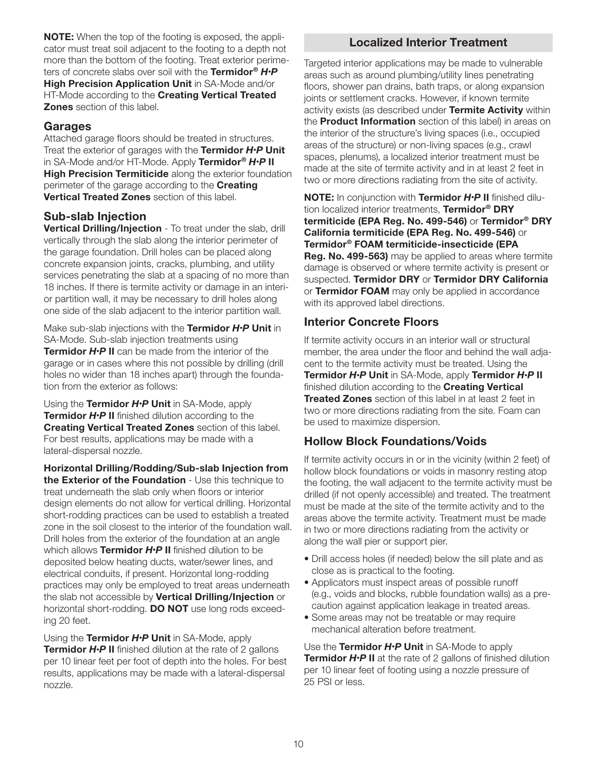NOTE: When the top of the footing is exposed, the applicator must treat soil adjacent to the footing to a depth not more than the bottom of the footing. Treat exterior perimeters of concrete slabs over soil with the Termidor® *H•P* High Precision Application Unit in SA-Mode and/or HT-Mode according to the **Creating Vertical Treated Zones** section of this label.

## Garages

Attached garage floors should be treated in structures. Treat the exterior of garages with the Termidor *H•P* Unit in SA-Mode and/or HT-Mode. Apply Termidor® *H•P* II **High Precision Termiticide** along the exterior foundation perimeter of the garage according to the **Creating** Vertical Treated Zones section of this label.

## Sub-slab Injection

Vertical Drilling/Injection - To treat under the slab, drill vertically through the slab along the interior perimeter of the garage foundation. Drill holes can be placed along concrete expansion joints, cracks, plumbing, and utility services penetrating the slab at a spacing of no more than 18 inches. If there is termite activity or damage in an interior partition wall, it may be necessary to drill holes along one side of the slab adjacent to the interior partition wall.

Make sub-slab injections with the Termidor *H•P* Unit in SA-Mode. Sub-slab injection treatments using Termidor *H•P* II can be made from the interior of the garage or in cases where this not possible by drilling (drill holes no wider than 18 inches apart) through the foundation from the exterior as follows:

Using the Termidor *H•P* Unit in SA-Mode, apply Termidor *H•P* II finished dilution according to the Creating Vertical Treated Zones section of this label. For best results, applications may be made with a lateral-dispersal nozzle.

Horizontal Drilling/Rodding/Sub-slab Injection from the Exterior of the Foundation - Use this technique to treat underneath the slab only when floors or interior design elements do not allow for vertical drilling. Horizontal short-rodding practices can be used to establish a treated zone in the soil closest to the interior of the foundation wall. Drill holes from the exterior of the foundation at an angle which allows Termidor *H•P* II finished dilution to be deposited below heating ducts, water/sewer lines, and electrical conduits, if present. Horizontal long-rodding practices may only be employed to treat areas underneath the slab not accessible by **Vertical Drilling/Injection** or horizontal short-rodding. DO NOT use long rods exceeding 20 feet.

Using the Termidor *H•P* Unit in SA-Mode, apply Termidor *H•P* II finished dilution at the rate of 2 gallons per 10 linear feet per foot of depth into the holes. For best results, applications may be made with a lateral-dispersal nozzle.

## Localized Interior Treatment

Targeted interior applications may be made to vulnerable areas such as around plumbing/utility lines penetrating floors, shower pan drains, bath traps, or along expansion joints or settlement cracks. However, if known termite activity exists (as described under Termite Activity within the **Product Information** section of this label) in areas on the interior of the structure's living spaces (i.e., occupied areas of the structure) or non-living spaces (e.g., crawl spaces, plenums), a localized interior treatment must be made at the site of termite activity and in at least 2 feet in two or more directions radiating from the site of activity.

NOTE: In conjunction with Termidor *H•P* II finished dilution localized interior treatments, Termidor® DRY termiticide (EPA Reg. No. 499-546) or Termidor® DRY California termiticide (EPA Reg. No. 499-546) or Termidor® FOAM termiticide-insecticide (EPA Reg. No. 499-563) may be applied to areas where termite damage is observed or where termite activity is present or suspected. Termidor DRY or Termidor DRY California or Termidor FOAM may only be applied in accordance with its approved label directions.

## Interior Concrete Floors

If termite activity occurs in an interior wall or structural member, the area under the floor and behind the wall adjacent to the termite activity must be treated. Using the Termidor *H•P* Unit in SA-Mode, apply Termidor *H•P* II finished dilution according to the **Creating Vertical Treated Zones** section of this label in at least 2 feet in two or more directions radiating from the site. Foam can be used to maximize dispersion.

## Hollow Block Foundations/Voids

If termite activity occurs in or in the vicinity (within 2 feet) of hollow block foundations or voids in masonry resting atop the footing, the wall adjacent to the termite activity must be drilled (if not openly accessible) and treated. The treatment must be made at the site of the termite activity and to the areas above the termite activity. Treatment must be made in two or more directions radiating from the activity or along the wall pier or support pier.

- Drill access holes (if needed) below the sill plate and as close as is practical to the footing.
- Applicators must inspect areas of possible runoff (e.g., voids and blocks, rubble foundation walls) as a precaution against application leakage in treated areas.
- Some areas may not be treatable or may require mechanical alteration before treatment.

Use the Termidor *H•P* Unit in SA-Mode to apply Termidor *H•P* II at the rate of 2 gallons of finished dilution per 10 linear feet of footing using a nozzle pressure of 25 PSI or less.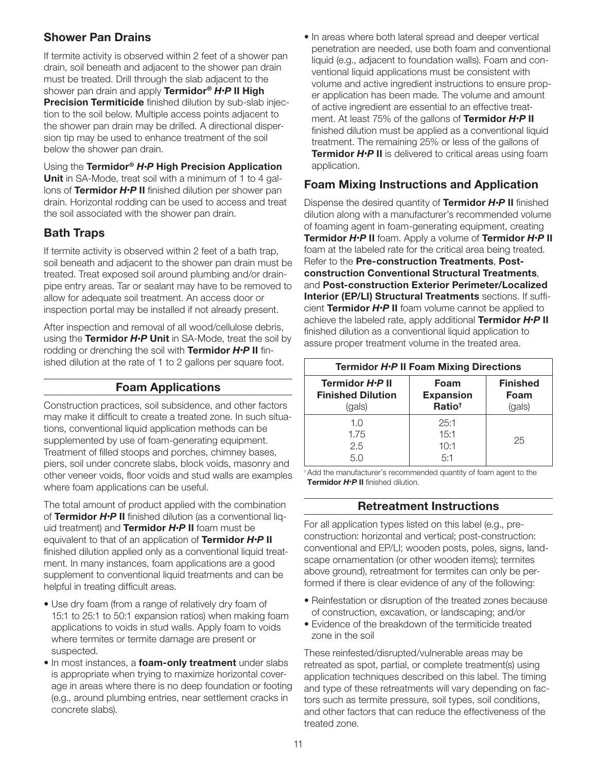## Shower Pan Drains

If termite activity is observed within 2 feet of a shower pan drain, soil beneath and adjacent to the shower pan drain must be treated. Drill through the slab adjacent to the shower pan drain and apply Termidor® *H•P* II High **Precision Termiticide** finished dilution by sub-slab injection to the soil below. Multiple access points adjacent to the shower pan drain may be drilled. A directional dispersion tip may be used to enhance treatment of the soil below the shower pan drain.

Using the Termidor® *H•P* High Precision Application Unit in SA-Mode, treat soil with a minimum of 1 to 4 gallons of Termidor *H•P* II finished dilution per shower pan drain. Horizontal rodding can be used to access and treat the soil associated with the shower pan drain.

## Bath Traps

If termite activity is observed within 2 feet of a bath trap, soil beneath and adjacent to the shower pan drain must be treated. Treat exposed soil around plumbing and/or drainpipe entry areas. Tar or sealant may have to be removed to allow for adequate soil treatment. An access door or inspection portal may be installed if not already present.

After inspection and removal of all wood/cellulose debris, using the Termidor *H•P* Unit in SA-Mode, treat the soil by rodding or drenching the soil with Termidor *H•P* II finished dilution at the rate of 1 to 2 gallons per square foot.

## Foam Applications

Construction practices, soil subsidence, and other factors may make it difficult to create a treated zone. In such situations, conventional liquid application methods can be supplemented by use of foam-generating equipment. Treatment of filled stoops and porches, chimney bases, piers, soil under concrete slabs, block voids, masonry and other veneer voids, floor voids and stud walls are examples where foam applications can be useful.

The total amount of product applied with the combination of Termidor *H•P* II finished dilution (as a conventional liquid treatment) and Termidor *H•P* II foam must be equivalent to that of an application of Termidor *H•P* II finished dilution applied only as a conventional liquid treatment. In many instances, foam applications are a good supplement to conventional liquid treatments and can be helpful in treating difficult areas.

- Use dry foam (from a range of relatively dry foam of 15:1 to 25:1 to 50:1 expansion ratios) when making foam applications to voids in stud walls. Apply foam to voids where termites or termite damage are present or suspected.
- In most instances, a foam-only treatment under slabs is appropriate when trying to maximize horizontal coverage in areas where there is no deep foundation or footing (e.g., around plumbing entries, near settlement cracks in concrete slabs).

• In areas where both lateral spread and deeper vertical penetration are needed, use both foam and conventional liquid (e.g., adjacent to foundation walls). Foam and conventional liquid applications must be consistent with volume and active ingredient instructions to ensure proper application has been made. The volume and amount of active ingredient are essential to an effective treatment. At least 75% of the gallons of Termidor *H•P* II finished dilution must be applied as a conventional liquid treatment. The remaining 25% or less of the gallons of Termidor *H•P* II is delivered to critical areas using foam application.

## Foam Mixing Instructions and Application

Dispense the desired quantity of Termidor *H•P* II finished dilution along with a manufacturer's recommended volume of foaming agent in foam-generating equipment, creating Termidor *H•P* II foam. Apply a volume of Termidor *H•P* II foam at the labeled rate for the critical area being treated. Refer to the Pre-construction Treatments, Postconstruction Conventional Structural Treatments, and Post-construction Exterior Perimeter/Localized Interior (EP/LI) Structural Treatments sections. If sufficient Termidor *H•P* II foam volume cannot be applied to achieve the labeled rate, apply additional Termidor *H•P* II finished dilution as a conventional liquid application to assure proper treatment volume in the treated area.

| Termidor H.P II Foam Mixing Directions                |                                                |                                   |  |
|-------------------------------------------------------|------------------------------------------------|-----------------------------------|--|
| Termidor H·P II<br><b>Finished Dilution</b><br>(gals) | Foam<br><b>Expansion</b><br>Ratio <sup>t</sup> | <b>Finished</b><br>Foam<br>(gals) |  |
| 1.0<br>1.75<br>2.5<br>5.0                             | 25:1<br>15:1<br>10:1<br>5:1                    | 25                                |  |

† Add the manufacturer's recommended quantity of foam agent to the Termidor *H•P* II finished dilution.

## Retreatment Instructions

For all application types listed on this label (e.g., preconstruction: horizontal and vertical; post-construction: conventional and EP/LI; wooden posts, poles, signs, landscape ornamentation (or other wooden items); termites above ground), retreatment for termites can only be performed if there is clear evidence of any of the following:

- Reinfestation or disruption of the treated zones because of construction, excavation, or landscaping; and/or
- Evidence of the breakdown of the termiticide treated zone in the soil

These reinfested/disrupted/vulnerable areas may be retreated as spot, partial, or complete treatment(s) using application techniques described on this label. The timing and type of these retreatments will vary depending on factors such as termite pressure, soil types, soil conditions, and other factors that can reduce the effectiveness of the treated zone.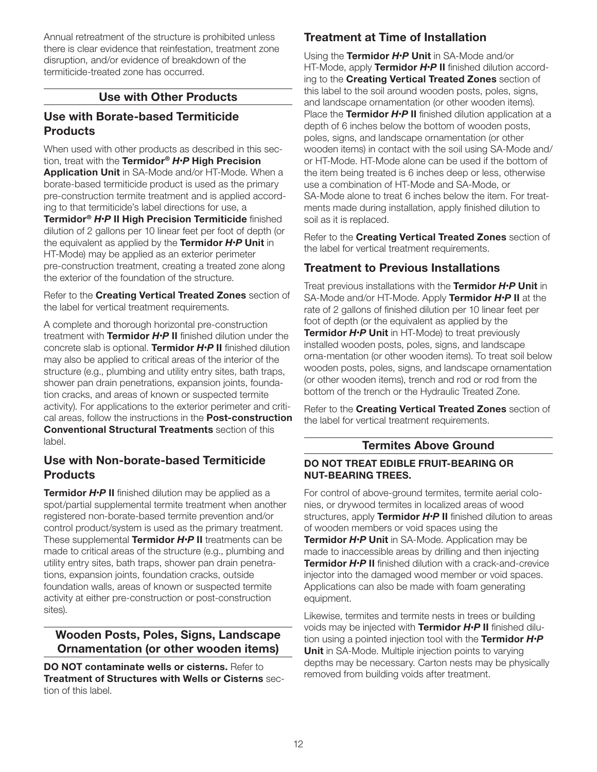Annual retreatment of the structure is prohibited unless there is clear evidence that reinfestation, treatment zone disruption, and/or evidence of breakdown of the termiticide-treated zone has occurred.

## Use with Other Products

### Use with Borate-based Termiticide **Products**

When used with other products as described in this section, treat with the Termidor® *H•P* High Precision Application Unit in SA-Mode and/or HT-Mode. When a borate-based termiticide product is used as the primary pre-construction termite treatment and is applied according to that termiticide's label directions for use, a Termidor® *H•P* II High Precision Termiticide finished dilution of 2 gallons per 10 linear feet per foot of depth (or the equivalent as applied by the Termidor *H•P* Unit in HT-Mode) may be applied as an exterior perimeter pre-construction treatment, creating a treated zone along the exterior of the foundation of the structure.

Refer to the Creating Vertical Treated Zones section of the label for vertical treatment requirements.

A complete and thorough horizontal pre-construction treatment with Termidor *H•P* II finished dilution under the concrete slab is optional. Termidor *H•P* II finished dilution may also be applied to critical areas of the interior of the structure (e.g., plumbing and utility entry sites, bath traps, shower pan drain penetrations, expansion joints, foundation cracks, and areas of known or suspected termite activity). For applications to the exterior perimeter and critical areas, follow the instructions in the Post-construction Conventional Structural Treatments section of this label.

### Use with Non-borate-based Termiticide **Products**

Termidor *H•P* II finished dilution may be applied as a spot/partial supplemental termite treatment when another registered non-borate-based termite prevention and/or control product/system is used as the primary treatment. These supplemental Termidor *H•P* II treatments can be made to critical areas of the structure (e.g., plumbing and utility entry sites, bath traps, shower pan drain penetrations, expansion joints, foundation cracks, outside foundation walls, areas of known or suspected termite activity at either pre-construction or post-construction sites).

## Wooden Posts, Poles, Signs, Landscape Ornamentation (or other wooden items)

DO NOT contaminate wells or cisterns. Refer to Treatment of Structures with Wells or Cisterns section of this label.

## Treatment at Time of Installation

Using the Termidor *H•P* Unit in SA-Mode and/or HT-Mode, apply Termidor *H•P* II finished dilution according to the Creating Vertical Treated Zones section of this label to the soil around wooden posts, poles, signs, and landscape ornamentation (or other wooden items). Place the **Termidor H<sup>***•P* II finished dilution application at a</sup> depth of 6 inches below the bottom of wooden posts, poles, signs, and landscape ornamentation (or other wooden items) in contact with the soil using SA-Mode and/ or HT-Mode. HT-Mode alone can be used if the bottom of the item being treated is 6 inches deep or less, otherwise use a combination of HT-Mode and SA-Mode, or SA-Mode alone to treat 6 inches below the item. For treatments made during installation, apply finished dilution to soil as it is replaced.

Refer to the **Creating Vertical Treated Zones** section of the label for vertical treatment requirements.

## Treatment to Previous Installations

Treat previous installations with the Termidor *H•P* Unit in SA-Mode and/or HT-Mode. Apply Termidor *H•P* II at the rate of 2 gallons of finished dilution per 10 linear feet per foot of depth (or the equivalent as applied by the Termidor *H•P* Unit in HT-Mode) to treat previously installed wooden posts, poles, signs, and landscape orna-mentation (or other wooden items). To treat soil below wooden posts, poles, signs, and landscape ornamentation (or other wooden items), trench and rod or rod from the bottom of the trench or the Hydraulic Treated Zone.

Refer to the **Creating Vertical Treated Zones** section of the label for vertical treatment requirements.

#### Termites Above Ground

#### DO NOT TREAT EDIBLE FRUIT-BEARING OR NUT-BEARING TREES.

For control of above-ground termites, termite aerial colonies, or drywood termites in localized areas of wood structures, apply Termidor *H•P* II finished dilution to areas of wooden members or void spaces using the Termidor *H•P* Unit in SA-Mode. Application may be made to inaccessible areas by drilling and then injecting Termidor *H•P* II finished dilution with a crack-and-crevice injector into the damaged wood member or void spaces. Applications can also be made with foam generating equipment.

Likewise, termites and termite nests in trees or building voids may be injected with Termidor *H•P* II finished dilution using a pointed injection tool with the Termidor *H•P* **Unit** in SA-Mode. Multiple injection points to varying depths may be necessary. Carton nests may be physically removed from building voids after treatment.